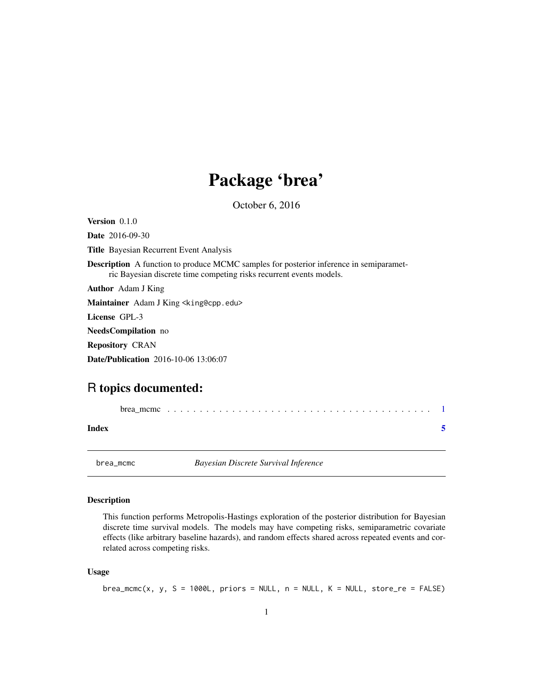## Package 'brea'

October 6, 2016

<span id="page-0-0"></span>

| <b>Version</b> $0.1.0$                                                                                                                                               |
|----------------------------------------------------------------------------------------------------------------------------------------------------------------------|
| <b>Date</b> 2016-09-30                                                                                                                                               |
| <b>Title</b> Bayesian Recurrent Event Analysis                                                                                                                       |
| <b>Description</b> A function to produce MCMC samples for posterior inference in semiparamet-<br>ric Bayesian discrete time competing risks recurrent events models. |
| <b>Author</b> Adam J King                                                                                                                                            |
| Maintainer Adam J King <king@cpp.edu></king@cpp.edu>                                                                                                                 |
| License GPL-3                                                                                                                                                        |
| <b>NeedsCompilation</b> no                                                                                                                                           |
| <b>Repository CRAN</b>                                                                                                                                               |
| <b>Date/Publication</b> 2016-10-06 13:06:07                                                                                                                          |
|                                                                                                                                                                      |

### R topics documented:

| Index |  |  |  |  |  |  |  |  |  |  |  |  |  |  |  |  |
|-------|--|--|--|--|--|--|--|--|--|--|--|--|--|--|--|--|

brea\_mcmc *Bayesian Discrete Survival Inference*

#### Description

This function performs Metropolis-Hastings exploration of the posterior distribution for Bayesian discrete time survival models. The models may have competing risks, semiparametric covariate effects (like arbitrary baseline hazards), and random effects shared across repeated events and correlated across competing risks.

#### Usage

```
brea_mcmc(x, y, S = 1000L, priors = NULL, n = NULL, K = NULL, store_re = FALSE)
```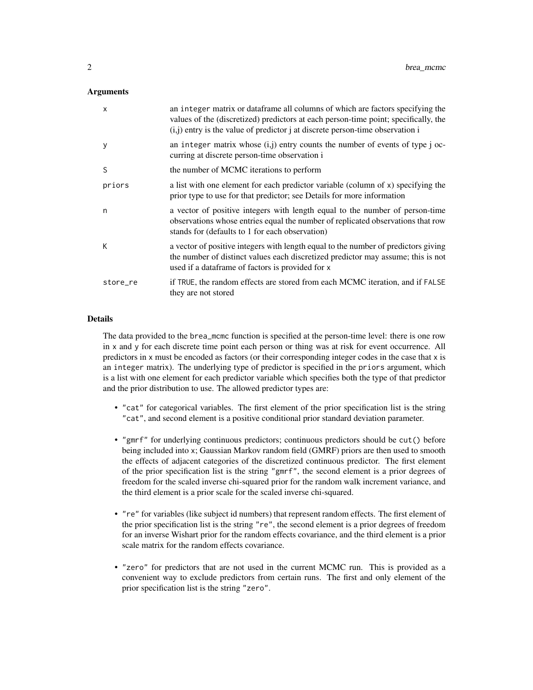#### **Arguments**

| X        | an integer matrix or dataframe all columns of which are factors specifying the<br>values of the (discretized) predictors at each person-time point; specifically, the<br>$(i, j)$ entry is the value of predictor j at discrete person-time observation i |
|----------|-----------------------------------------------------------------------------------------------------------------------------------------------------------------------------------------------------------------------------------------------------------|
| у        | an integer matrix whose $(i,j)$ entry counts the number of events of type j oc-<br>curring at discrete person-time observation i                                                                                                                          |
| S        | the number of MCMC iterations to perform                                                                                                                                                                                                                  |
| priors   | a list with one element for each predictor variable (column of x) specifying the<br>prior type to use for that predictor; see Details for more information                                                                                                |
| n        | a vector of positive integers with length equal to the number of person-time<br>observations whose entries equal the number of replicated observations that row<br>stands for (defaults to 1 for each observation)                                        |
| К        | a vector of positive integers with length equal to the number of predictors giving<br>the number of distinct values each discretized predictor may assume; this is not<br>used if a data frame of factors is provided for x                               |
| store_re | if TRUE, the random effects are stored from each MCMC iteration, and if FALSE<br>they are not stored                                                                                                                                                      |
|          |                                                                                                                                                                                                                                                           |

#### **Details**

The data provided to the brea\_mcmc function is specified at the person-time level: there is one row in x and y for each discrete time point each person or thing was at risk for event occurrence. All predictors in x must be encoded as factors (or their corresponding integer codes in the case that x is an integer matrix). The underlying type of predictor is specified in the priors argument, which is a list with one element for each predictor variable which specifies both the type of that predictor and the prior distribution to use. The allowed predictor types are:

- "cat" for categorical variables. The first element of the prior specification list is the string "cat", and second element is a positive conditional prior standard deviation parameter.
- "gmrf" for underlying continuous predictors; continuous predictors should be cut() before being included into x; Gaussian Markov random field (GMRF) priors are then used to smooth the effects of adjacent categories of the discretized continuous predictor. The first element of the prior specification list is the string "gmrf", the second element is a prior degrees of freedom for the scaled inverse chi-squared prior for the random walk increment variance, and the third element is a prior scale for the scaled inverse chi-squared.
- "re" for variables (like subject id numbers) that represent random effects. The first element of the prior specification list is the string "re", the second element is a prior degrees of freedom for an inverse Wishart prior for the random effects covariance, and the third element is a prior scale matrix for the random effects covariance.
- "zero" for predictors that are not used in the current MCMC run. This is provided as a convenient way to exclude predictors from certain runs. The first and only element of the prior specification list is the string "zero".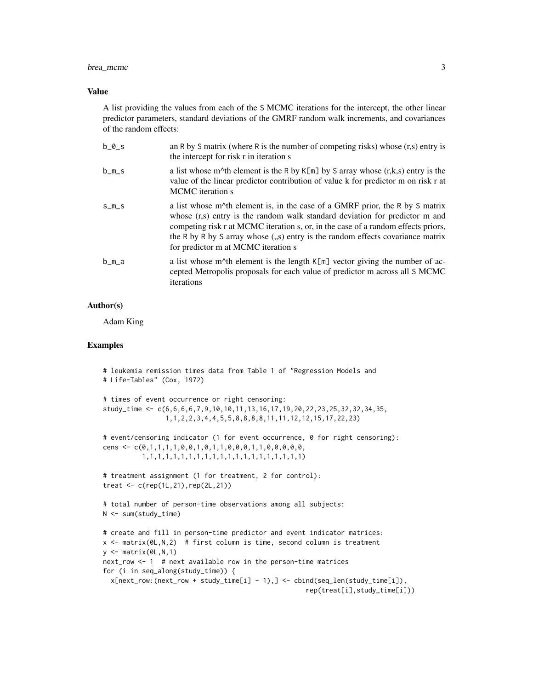#### brea\_mcmc 3

#### Value

A list providing the values from each of the S MCMC iterations for the intercept, the other linear predictor parameters, standard deviations of the GMRF random walk increments, and covariances of the random effects:

| $b_0_s$ | an R by S matrix (where R is the number of competing risks) whose $(r,s)$ entry is<br>the intercept for risk r in iteration s                                                                                                                                                                                                                                                                                |
|---------|--------------------------------------------------------------------------------------------------------------------------------------------------------------------------------------------------------------------------------------------------------------------------------------------------------------------------------------------------------------------------------------------------------------|
| b_m_s   | a list whose m <sup><math>\lambda</math></sup> th element is the R by K[m] by S array whose (r,k,s) entry is the<br>value of the linear predictor contribution of value k for predictor m on risk r at<br>MCMC iteration s                                                                                                                                                                                   |
| $S_{m}$ | a list whose m <sup><math>\Lambda</math></sup> th element is, in the case of a GMRF prior, the R by S matrix<br>whose $(r,s)$ entry is the random walk standard deviation for predictor m and<br>competing risk r at MCMC iteration s, or, in the case of a random effects priors,<br>the R by R by S array whose (,,s) entry is the random effects covariance matrix<br>for predictor m at MCMC iteration s |
| b_m_a   | a list whose m <sup><math>\wedge</math></sup> th element is the length K[m] vector giving the number of ac-<br>cepted Metropolis proposals for each value of predictor m across all S MCMC<br>iterations                                                                                                                                                                                                     |

#### Author(s)

Adam King

#### Examples

```
# leukemia remission times data from Table 1 of "Regression Models and
# Life-Tables" (Cox, 1972)
# times of event occurrence or right censoring:
study_time <- c(6,6,6,6,7,9,10,10,11,13,16,17,19,20,22,23,25,32,32,34,35,
                1,1,2,2,3,4,4,5,5,8,8,8,8,11,11,12,12,15,17,22,23)
# event/censoring indicator (1 for event occurrence, 0 for right censoring):
cens <- c(0,1,1,1,1,0,0,1,0,1,1,0,0,0,1,1,0,0,0,0,0,
          1,1,1,1,1,1,1,1,1,1,1,1,1,1,1,1,1,1,1,1,1)
# treatment assignment (1 for treatment, 2 for control):
treat \leq c (rep(1L,21), rep(2L,21))
# total number of person-time observations among all subjects:
N <- sum(study_time)
# create and fill in person-time predictor and event indicator matrices:
x \le matrix(0L,N,2) # first column is time, second column is treatment
y \leftarrow \text{matrix}(\emptyset \cup, N, 1)next_row <- 1 # next available row in the person-time matrices
for (i in seq_along(study_time)) {
  x[next_{row:(next_{row} + study_time[i] - 1),] < - child(seq_{len}(study\_time[i]),rep(treat[i],study_time[i]))
```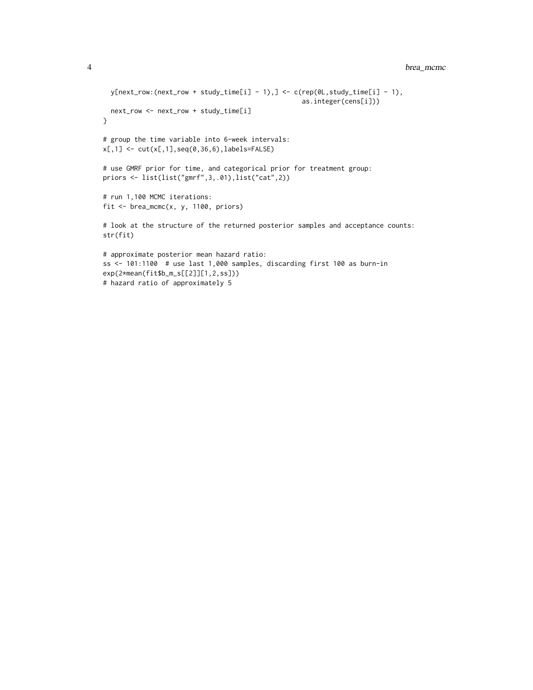```
4 brea_mcmc
```

```
y[next_{row:(next_{row} + study_time[i] - 1),] \leftarrow c(rep(0L,study_time[i] - 1),]as.integer(cens[i]))
 next_row <- next_row + study_time[i]
}
# group the time variable into 6-week intervals:
x[,1] <- cut(x[,1],seq(0,36,6), labels=FALSE)# use GMRF prior for time, and categorical prior for treatment group:
priors <- list(list("gmrf",3,.01),list("cat",2))
# run 1,100 MCMC iterations:
fit \leq brea_mcmc(x, y, 1100, priors)
# look at the structure of the returned posterior samples and acceptance counts:
str(fit)
# approximate posterior mean hazard ratio:
ss <- 101:1100 # use last 1,000 samples, discarding first 100 as burn-in
exp(2*mean(fit$b_m_s[[2]][1,2,ss]))
```
# hazard ratio of approximately 5